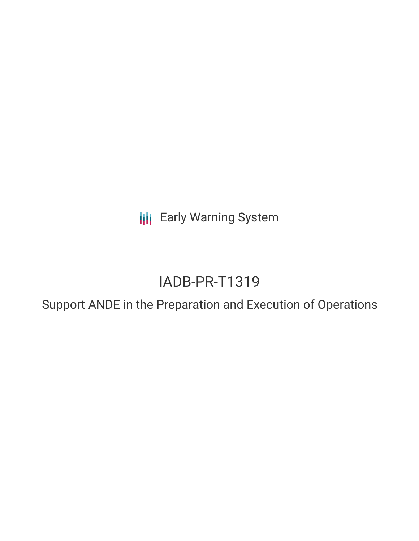**III** Early Warning System

# IADB-PR-T1319

Support ANDE in the Preparation and Execution of Operations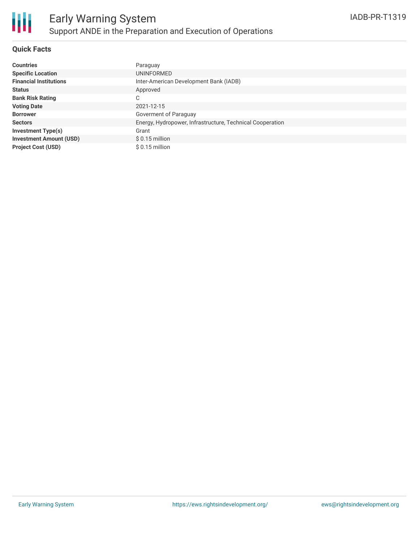### **Quick Facts**

| <b>Countries</b>               | Paraguay                                                  |
|--------------------------------|-----------------------------------------------------------|
| <b>Specific Location</b>       | UNINFORMED                                                |
| <b>Financial Institutions</b>  | Inter-American Development Bank (IADB)                    |
| <b>Status</b>                  | Approved                                                  |
| <b>Bank Risk Rating</b>        | C                                                         |
| <b>Voting Date</b>             | 2021-12-15                                                |
| <b>Borrower</b>                | Goverment of Paraguay                                     |
| <b>Sectors</b>                 | Energy, Hydropower, Infrastructure, Technical Cooperation |
| <b>Investment Type(s)</b>      | Grant                                                     |
| <b>Investment Amount (USD)</b> | $$0.15$ million                                           |
| <b>Project Cost (USD)</b>      | $$0.15$ million                                           |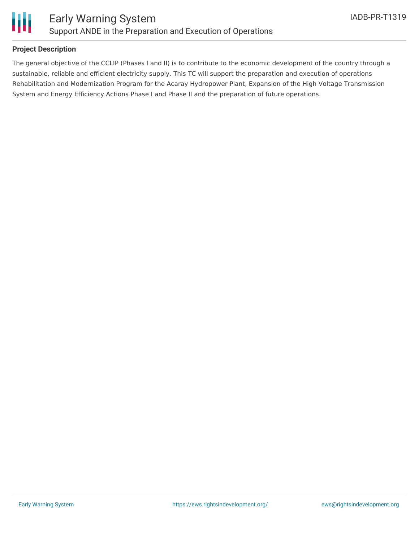

## **Project Description**

The general objective of the CCLIP (Phases I and II) is to contribute to the economic development of the country through a sustainable, reliable and efficient electricity supply. This TC will support the preparation and execution of operations Rehabilitation and Modernization Program for the Acaray Hydropower Plant, Expansion of the High Voltage Transmission System and Energy Efficiency Actions Phase I and Phase II and the preparation of future operations.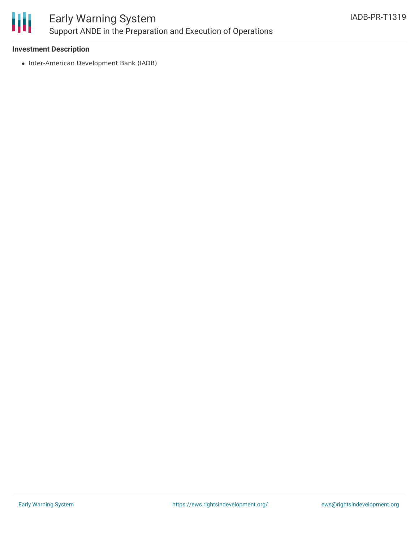

### **Investment Description**

• Inter-American Development Bank (IADB)